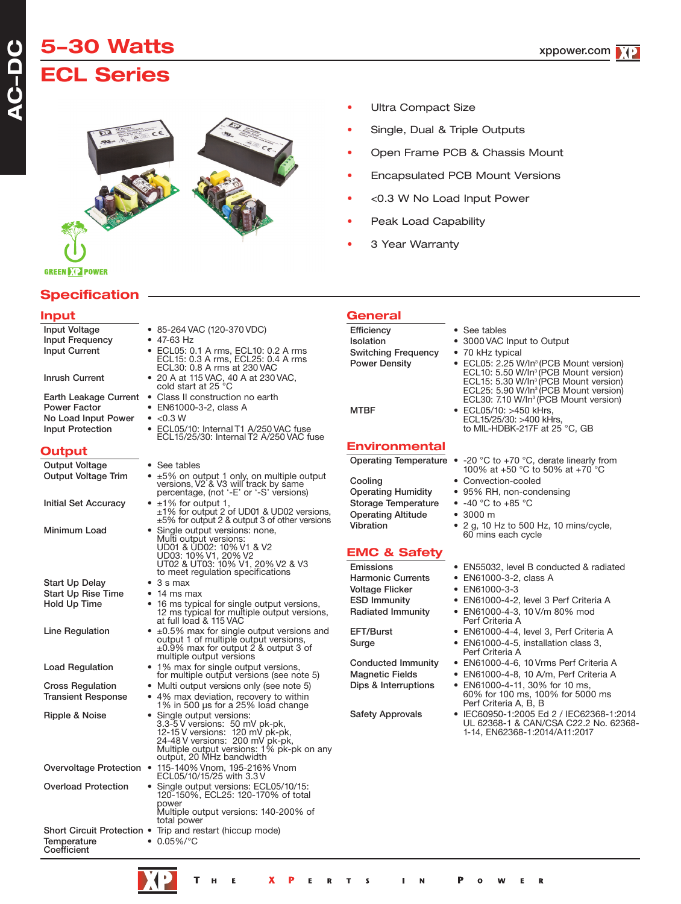# **5-30 Watts ECL Series**



- Ultra Compact Size
- Single, Dual & Triple Outputs
- Open Frame PCB & Chassis Mount
- Encapsulated PCB Mount Versions
- <0.3 W No Load Input Power
- Peak Load Capability
- 3 Year Warranty

# **Specification**

**GREEN DIE POWER** 

### **Input**

**A C-DC**

| Input Voltage                                            | ● 85-264 VAC (120-370 VDC)                                                                                                                                                                               |
|----------------------------------------------------------|----------------------------------------------------------------------------------------------------------------------------------------------------------------------------------------------------------|
| Input Frequency                                          | $\bullet$ 47-63 Hz                                                                                                                                                                                       |
| <b>Input Current</b>                                     | • ECL05: 0.1 A rms, ECL10: 0.2 A rms<br>ECL15: 0.3 A rms, ECL25: 0.4 A rms<br>ECL30: 0.8 A rms at 230 VAC                                                                                                |
| <b>Inrush Current</b>                                    | • 20 A at 115 VAC, 40 A at 230 VAC, cold start at 25 °C                                                                                                                                                  |
| Earth Leakage Current                                    | • Class II construction no earth                                                                                                                                                                         |
| <b>Power Factor</b>                                      | • EN61000-3-2, class A                                                                                                                                                                                   |
| No Load Input Power                                      | $\bullet$ <0.3 W                                                                                                                                                                                         |
| <b>Input Protection</b>                                  | • ECL05/10: Internal T1 A/250 VAC fuse<br>ECL15/25/30: Internal T2 A/250 VAC fuse                                                                                                                        |
| Output                                                   |                                                                                                                                                                                                          |
| <b>Output Voltage</b>                                    | • See tables                                                                                                                                                                                             |
| <b>Output Voltage Trim</b>                               | • ±5% on output 1 only, on multiple output<br>versions, V2 & V3 will track by same<br>percentage, (not '-E' or '-S' versions)                                                                            |
| Initial Set Accuracy                                     | $\bullet$ ±1% for output 1,<br>$\pm 1\%$ for output 2 of UD01 & UD02 versions,<br>$\pm 5\%$ for output 2 & output 3 of other versions                                                                    |
| Minimum Load                                             | • Single output versions: none,                                                                                                                                                                          |
|                                                          | Multi output versions:<br>UD01 & ÜD02: 10% V1 & V2                                                                                                                                                       |
|                                                          |                                                                                                                                                                                                          |
|                                                          | UD03: 10% V1, 20% V2<br>UT02 & UT03: 10% V1, 20% V2 & V3                                                                                                                                                 |
|                                                          | to meet regulation specifications                                                                                                                                                                        |
| Start Up Delay                                           | $\bullet$ 3 s max                                                                                                                                                                                        |
| <b>Start Up Rise Time</b>                                | $\bullet$ 14 ms max                                                                                                                                                                                      |
| Hold Up Time                                             | 16 ms typical for single output versions,<br>12 ms typical for multiple output versions,<br>at full load & 115 VAC                                                                                       |
| Line Regulation                                          | $\bullet$ ±0.5% max for single output versions and<br>output 1 of multiple output versions,<br>±0.9% max for output 2 & output 3 of<br>multiple output versions                                          |
| <b>Load Regulation</b>                                   | • 1% max for single output versions,<br>for multiple output versions (see note 5)                                                                                                                        |
| <b>Cross Regulation</b>                                  | • Multi output versions only (see note 5)                                                                                                                                                                |
| <b>Transient Response</b>                                | • 4% max deviation, recovery to within<br>1% in 500 µs for a 25% load change                                                                                                                             |
| Ripple & Noise                                           | Single output versions:<br>3.3-5 V versions: 50 mV pk-pk,<br>12-15 V versions: 120 mV pk-pk,<br>24-48 V versions: 200 mV pk-pk,<br>Multiple output versions: 1% pk-pk on any<br>output, 20 MHz bandwidth |
|                                                          | Overvoltage Protection • 115-140% Vnom, 195-216% Vnom<br>ECL05/10/15/25 with 3.3 V                                                                                                                       |
| <b>Overload Protection</b>                               | Single output versions: ECL05/10/15:<br>120-150%, ECL25: 120-170% of total<br>power<br>Multiple output versions: 140-200% of                                                                             |
|                                                          | total power                                                                                                                                                                                              |
| Short Circuit Protection .<br>Temperature<br>Coefficient | Trip and restart (hiccup mode)<br>$0.05\%/°C$<br>$\bullet$                                                                                                                                               |

## **General**

Efficiency • See tables<br>Isolation • 3000 VAC • 3000 VAC Input to Output Switching Frequency • 70 kHz typical Power Density • ECL05: 2.25 W/In<sup>3</sup> (PCB Mount version)<br>ECL10: 5.50 W/In<sup>3</sup> (PCB Mount version)<br>ECL15: 5.30 W/In<sup>3</sup> (PCB Mount version)<br>ECL25: 5.90 W/In<sup>3</sup> (PCB Mount version) ECL30: 7.10 W/In<sup>3</sup> (PCB Mount version)<br>• ECL05/10: >450 kHrs. MTBF • ECL05/10: >450 kHrs, ECL15/25/30: >400 kHrs, to MIL-HDBK-217F at <sup>25</sup> °C, GB **Environmental** Cooling • Convection-cooled<br>Operating Humidity • 95% RH, non-cond

# Storage Temperature -40 °C to +85 °C<br>Operating Altitude 3000 m Operating Altitude<br>Vibration

## **EMC & Safety**

Harmonic Currents • EN61000-3-2, class A Voltage Flicker • EN61000-3-3

- Operating Temperature -20 °C to +70 °C, derate linearly from<br>100% at +50 °C to 50% at +70 °C
	-
	- 95% RH, non-condensing
	-
	-
	- 2 g, 10 Hz to 500 Hz, 10 mins/cycle, 60 mins each cycle
- Emissions EN55032, level B conducted & radiated
	-
	-
- ESD Immunity EN61000-4-2, level 3 Perf Criteria A
- Radiated Immunity EN61000-4-3, 10 V/m 80% mod Perf Criteria A
- EFT/Burst EN61000-4-4, level 3, Perf Criteria A
- Surge EN61000-4-5, installation class 3,<br>Perf Criteria A
- Conducted Immunity EN61000-4-6, 10 Vrms Perf Criteria A
- Magnetic Fields EN61000-4-8, 10 A/m, Perf Criteria A<br>Dips & Interruptions EN61000-4-11, 30% for 10 ms,
	- Dips & Interruptions EN61000-4-11, 30% for <sup>10</sup> ms, 60% for <sup>100</sup> ms, 100% for <sup>5000</sup> ms Perf Criteria A, B, <sup>B</sup>
- Safety Approvals IEC60950-1:2005 Ed 2 / IEC62368-1:2014 UL 62368-1 & CAN/CSA C22.2 No. 62368- 1-14, EN62368-1:2014/A11:2017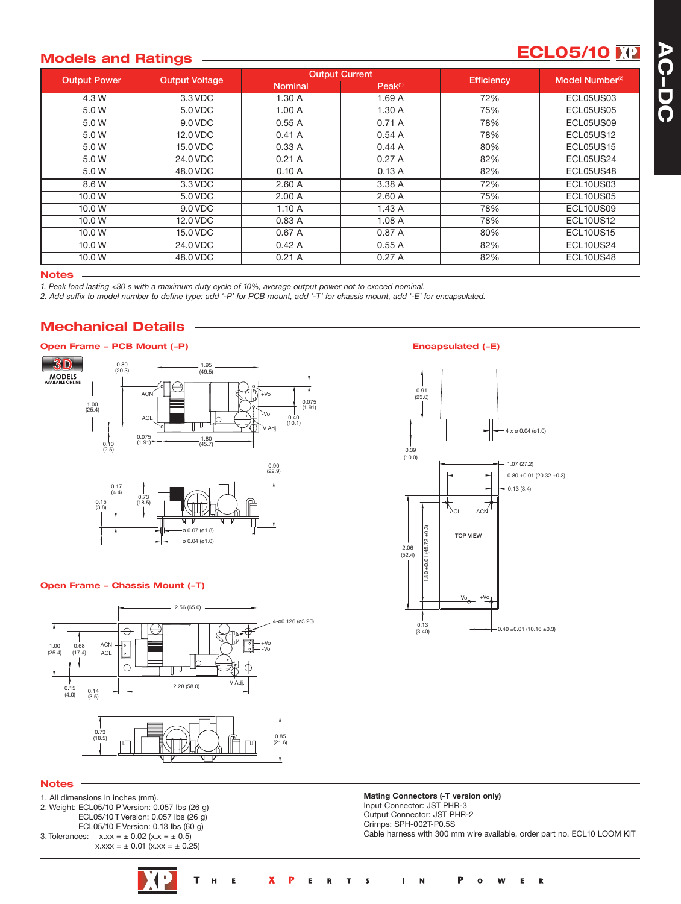# **ECL05/10**

### **Models and Ratings**

| <b>Output Power</b> | <b>Output Voltage</b> |                | <b>Output Current</b> | <b>Efficiency</b> | Model Number <sup>(2)</sup> |
|---------------------|-----------------------|----------------|-----------------------|-------------------|-----------------------------|
|                     |                       | <b>Nominal</b> | Peak <sup>(1)</sup>   |                   |                             |
| 4.3 W               | 3.3 VDC               | 1.30A          | 1.69A                 | 72%               | ECL05US03                   |
| 5.0 W               | 5.0 VDC               | 1.00A          | 1.30A                 | 75%               | ECL05US05                   |
| 5.0 W               | 9.0 VDC               | 0.55A          | 0.71A                 | 78%               | ECL05US09                   |
| 5.0 W               | 12.0 VDC              | 0.41A          | 0.54A                 | 78%               | ECL05US12                   |
| 5.0 W               | 15.0 VDC              | 0.33A          | 0.44A                 | 80%               | <b>ECL05US15</b>            |
| 5.0 W               | 24.0 VDC              | 0.21A          | 0.27A                 | 82%               | ECL05US24                   |
| 5.0 W               | 48.0 VDC              | 0.10A          | 0.13A                 | 82%               | ECL05US48                   |
| 8.6 W               | 3.3 VDC               | 2.60A          | 3.38 A                | 72%               | ECL10US03                   |
| 10.0 W              | 5.0 VDC               | 2.00A          | 2.60A                 | 75%               | ECL10US05                   |
| 10.0 W              | 9.0 VDC               | 1.10A          | 1.43A                 | 78%               | ECL10US09                   |
| 10.0 W              | 12.0 VDC              | 0.83A          | 1.08A                 | 78%               | <b>ECL10US12</b>            |
| 10.0 W              | 15.0 VDC              | 0.67A          | 0.87 A                | 80%               | <b>ECL10US15</b>            |
| 10.0 W              | 24.0 VDC              | 0.42A          | 0.55A                 | 82%               | ECL10US24                   |
| 10.0 W              | 48.0 VDC              | 0.21A          | 0.27A                 | 82%               | ECL10US48                   |

### **Notes**

1. Peak load lasting <30 s with a maximum duty cycle of 10%, average output power not to exceed nominal.

2. Add suffix to model number to define type: add '-P' for PCB mount, add '-T' for chassis mount, add '-E' for encapsulated.

# **Mechanical Details**



### **Open Frame - Chassis Mount (-T)**



### **Notes**

- 1. All dimensions in inches (mm). 2. Weight: ECL05/10 P Version: 0.057 lbs (26 g) ECL05/10 T Version: 0.057 lbs (26 g) ECL05/10 E Version: 0.13 lbs (60 g) 3. Tolerances:  $x.xx = \pm 0.02$  ( $x.x = \pm 0.5$ )
	- $x.xxx = \pm 0.01 (x.xx = \pm 0.25)$

### Encapsulated (-E)



**Mating Connectors (-T version only)** Input Connector: JST PHR-3 Output Connector: JST PHR-2 Crimps: SPH-002T-P0.5S Cable harness with 300 mm wire available, order part no. ECL10 LOOM KIT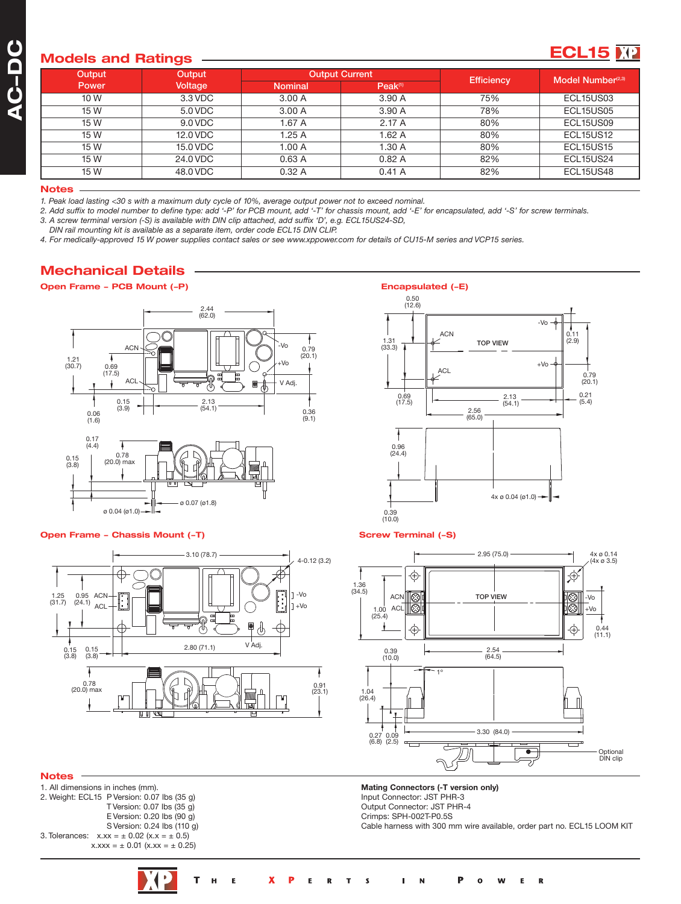# **Models and Ratings**

| oueis anu naungs |          |                |                       |                   |                               |
|------------------|----------|----------------|-----------------------|-------------------|-------------------------------|
| Output           | Output   |                | <b>Output Current</b> | <b>Efficiency</b> | Model Number <sup>(2,3)</sup> |
| <b>Power</b>     | Voltage  | <b>Nominal</b> | Peak <sup>(1)</sup>   |                   |                               |
| 10 W             | 3.3 VDC  | 3.00A          | 3.90 A                | 75%               | ECL15US03                     |
| 15 W             | 5.0 VDC  | 3.00A          | 3.90 A                | 78%               | ECL15US05                     |
| 15 W             | 9.0 VDC  | 1.67A          | 2.17A                 | 80%               | ECL15US09                     |
| 15 W             | 12.0 VDC | 1.25A          | 1.62A                 | 80%               | <b>ECL15US12</b>              |
| 15 W             | 15.0 VDC | 1.00A          | 1.30 A                | 80%               | <b>ECL15US15</b>              |
| 15 W             | 24.0 VDC | 0.63A          | 0.82A                 | 82%               | ECL15US24                     |
| 15 W             | 48.0 VDC | 0.32A          | 0.41A                 | 82%               | ECL15US48                     |
|                  |          |                |                       |                   |                               |

#### **Notes**

1. Peak load lasting <30 s with a maximum duty cycle of 10%, average output power not to exceed nominal.

2. Add suffix to model number to define type: add '-P' for PCB mount, add '-T' for chassis mount, add '-E' for encapsulated, add '-S' for screw terminals. *3. A screw terminal version (-S) is available with DIN clip attached, add suffix 'D', e.g. ECL15US24-SD,*

*DIN rail mounting kit is available as a separate item, order code ECL15 DIN CLIP.*

4. For medically-approved 15 W power supplies contact sales or see www.xppower.com for details of CU15-M series and VCP15 series.

## **Mechanical Details**

### **Open Frame - PCB Mount (-P) Encapsulated (-E)**



### **Open Frame - Chassis Mount (-T) SCREW SCREW Terminal (-S)**



#### **Notes**

1. All dimensions in inches (mm). 2. Weight: ECL15 P Version: 0.07 lbs (35 g) T Version: 0.07 lbs (35 g) E Version: 0.20 lbs (90 g) S Version: 0.24 lbs (110 g) 3. Tolerances:  $x.xx = \pm 0.02$  (x.x =  $\pm 0.5$ )  $x.xxx = \pm 0.01 (x.xx = \pm 0.25)$ 

0.69  $(17.5)$ 0.50 (12.6) 1.31 (33.3) 0.79  $(20.1)$ 0.11 (2.9) 2.13 (54.1) 0.21 (5.4) 2.56 (65.0) -Vo +Vo **ACI** ACN TOP VIEW 0.96  $(24.4)$ 0.39 (10.0) 4x ø 0.04 (ø1.0)

**ECL15**  $\overline{M2}$ 





**Mating Connectors (-T version only)** Input Connector: JST PHR-3 Output Connector: JST PHR-4 Crimps: SPH-002T-P0.5S Cable harness with 300 mm wire available, order part no. ECL15 LOOM KIT

 $\overline{\mathbf{R}}$ 

T  $\mathbf x$ P н E E  $\overline{R}$ т **s** N  $\Omega$ W E  $\blacksquare$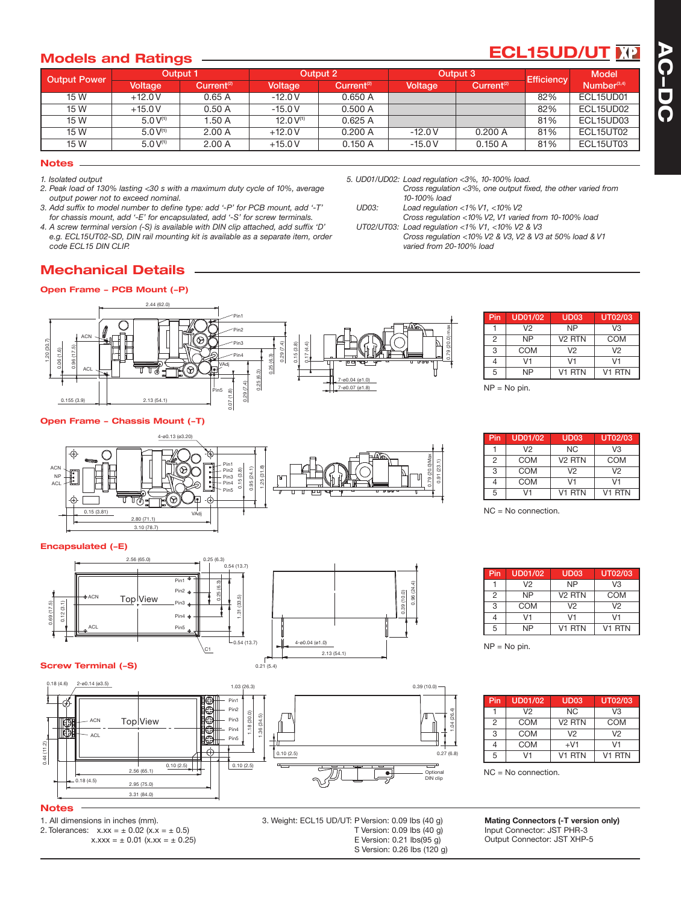# **ECL15UD/UT**

## **Models and Ratings**

| <b>Output Power</b> |               | <b>Output 1</b>        | Output 2       |                        | Output 3 |                        | <b>Efficiency</b> | <b>Model</b>            |
|---------------------|---------------|------------------------|----------------|------------------------|----------|------------------------|-------------------|-------------------------|
|                     | Voltage       | Current <sup>(2)</sup> | Voltage        | Current <sup>(2)</sup> | Voltage  | Current <sup>(2)</sup> |                   | Number <sup>(3,4)</sup> |
| 15 W                | $+12.0V$      | 0.65A                  | $-12.0V$       | 0.650A                 |          |                        | 82%               | ECL15UD01               |
| 15 W                | $+15.0V$      | 0.50A                  | $-15.0V$       | 0.500A                 |          |                        | 82%               | ECL15UD02               |
| 15 W                | $5.0 V^{(1)}$ | 1.50A                  | 12.0 $V^{(1)}$ | 0.625A                 |          |                        | 81%               | ECL15UD03               |
| 15 W                | $5.0 V^{(1)}$ | 2.00A                  | $+12.0V$       | 0.200A                 | $-12.0V$ | 0.200A                 | 81%               | ECL15UT02               |
| 15 W                | $5.0V^{(1)}$  | 2.00A                  | $+15.0V$       | 0.150A                 | $-15.0V$ | 0.150A                 | 81%               | ECL15UT03               |

*5. UD01/UD02: Load regulation <3%, 10-100% load.*

*UT02/UT03: Load regulation <1% V1, <10% V2 & V3*

*varied from 20-100% load*

*10-100% load UD03: Load regulation <1% V1, <10% V2*

#### **Notes**

*1. Isolated output*

- *2. Peak load of 130% lasting <30 s with a maximum duty cycle of 10%, average output power not to exceed nominal.*
- *3. Add suffix to model number to define type: add '-P' for PCB mount, add '-T' for chassis mount, add '-E' for encapsulated, add '-S' for screw terminals.*
- *4. A screw terminal version (-S) is available with DIN clip attached, add suffix 'D' e.g. ECL15UT02-SD, DIN rail mounting kit is available as a separate item, order code ECL15 DIN CLIP.*

# **Mechanical Details**

### **Open Frame - PCB Mount (-P)**



### **Open Frame - Chassis Mount (-T)**



### **Encapsulated (-E)**



### **Screw Terminal (-S)**



 $0.21(5.4)$ 

### **Notes**

1. All dimensions in inches (mm). 2. Tolerances:  $x.xx = \pm 0.02$  ( $x.x = \pm 0.5$ )  $x.xxx = \pm 0.01 (x.xx = \pm 0.25)$ 

3. Weight: ECL15 UD/UT: P Version: 0.09 lbs (40 g) T Version: 0.09 lbs (40 g) E Version: 0.21 lbs(95 g)

S Version: 0.26 lbs (120 g)

| Pin | <b>UD01/02</b> | UD <sub>03</sub>   | UT02/03        |
|-----|----------------|--------------------|----------------|
|     | V <sub>2</sub> | <b>NP</b>          | V <sub>3</sub> |
| 2   | <b>NP</b>      | V <sub>2</sub> RTN | <b>COM</b>     |
| 3   | <b>COM</b>     | V2                 | V <sub>2</sub> |
|     | V1             | V1                 | V1             |
| 5   | NΡ             | V1 RTN             | V1 RTN         |

 $NP = No$  pin.

*Cross regulation <3%, one output fixed, the other varied from*

*Cross regulation <10% V2, V1 varied from 10-100% load*

*Cross regulation <10% V2 & V3, V2 & V3 at 50% load & V1*

| Pin | <b>UD01/02</b> | UD <sub>03</sub>   | UT02/03        |
|-----|----------------|--------------------|----------------|
|     | V <sub>2</sub> | <b>NC</b>          | V3             |
| 2   | COM            | V <sub>2</sub> RTN | COM            |
| 3   | COM            | V2                 | V <sub>2</sub> |
|     | COM            | V1                 | V1             |
| 5   | V1             | V <sub>1</sub> RTN | V1 RTN         |

NC = No connection.

| Pin            | UD01/02   | UD <sub>03</sub>   | UT02/03            |
|----------------|-----------|--------------------|--------------------|
|                | V2        | <b>NP</b>          | V3                 |
| $\overline{2}$ | <b>NP</b> | V <sub>2</sub> RTN | COM                |
| 3              | COM       | V <sub>2</sub>     | V <sub>2</sub>     |
|                | V1        | V1                 | ۷1                 |
| 5              | NP        | V1 RTN             | V <sub>1</sub> RTN |

NP = No pin.

| Pin | <b>UD01/02</b> | <b>UD03</b>        | UT02/03            |
|-----|----------------|--------------------|--------------------|
|     | V <sub>2</sub> | <b>NC</b>          | V3                 |
| 2   | COM            | V <sub>2</sub> RTN | COM                |
| 3   | COM            | V2                 | V <sub>2</sub>     |
|     | COM            | $+V1$              | V1                 |
| 5   | 11             | V <sub>1</sub> RTN | V <sub>1</sub> RTN |

NC = No connection.

**Mating Connectors (-T version only)** Input Connector: JST PHR-3 Output Connector: JST XHP-5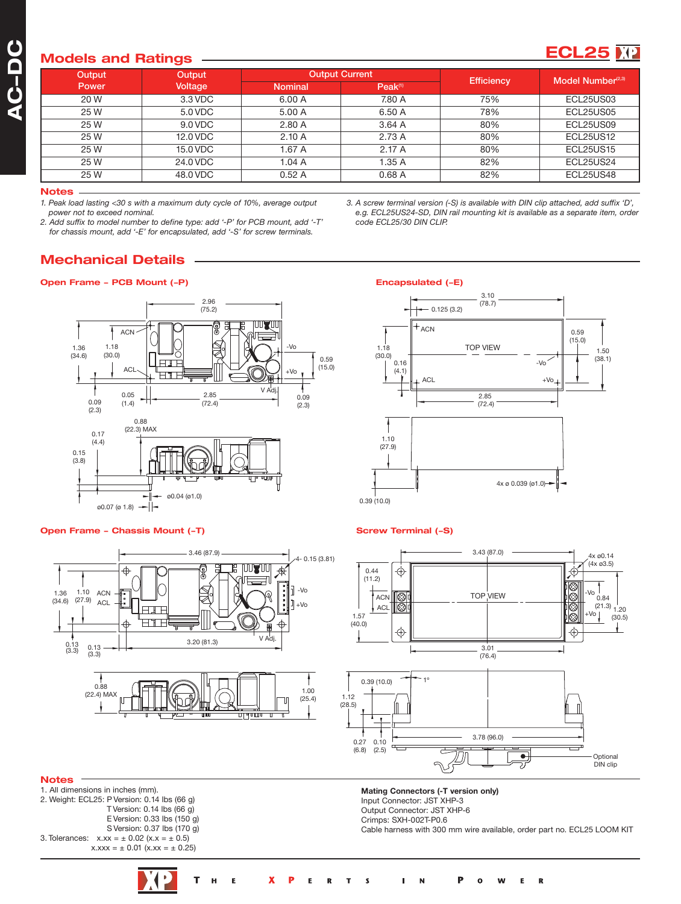# **Models and Ratings**

| Output | Output   | <b>Output Current</b> |                     | <b>Efficiency</b> | Model Number <sup>(2,3)</sup> |
|--------|----------|-----------------------|---------------------|-------------------|-------------------------------|
| Power  | Voltage  | <b>Nominal</b>        | Peak <sup>(1)</sup> |                   |                               |
| 20 W   | 3.3 VDC  | 6.00 A                | 7.80 A              | 75%               | ECL25US03                     |
| 25 W   | 5.0 VDC  | 5.00 A                | 6.50 A              | 78%               | ECL25US05                     |
| 25 W   | 9.0 VDC  | 2.80A                 | 3.64A               | 80%               | ECL25US09                     |
| 25 W   | 12.0 VDC | 2.10A                 | 2.73 A              | 80%               | <b>ECL25US12</b>              |
| 25 W   | 15.0 VDC | 1.67 A                | 2.17A               | 80%               | <b>ECL25US15</b>              |
| 25 W   | 24.0 VDC | 1.04A                 | 1.35A               | 82%               | <b>ECL25US24</b>              |
| 25 W   | 48.0 VDC | 0.52A                 | 0.68A               | 82%               | ECL25US48                     |

#### **Notes**

*1. Peak load lasting <30 s with a maximum duty cycle of 10%, average output power not to exceed nominal.*

*2. Add suffix to model number to define type: add '-P' for PCB mount, add '-T' for chassis mount, add '-E' for encapsulated, add '-S' for screw terminals.*

*3. A screw terminal version (-S) is available with DIN clip attached, add suffix 'D', e.g. ECL25US24-SD, DIN rail mounting kit is available as a separate item, order code ECL25/30 DIN CLIP.*

3.10

Encapsulated (-E)

**ECL25**  $\mathbf{F}$ 

### **Mechanical Details**

### **Open Frame - PCB Mount (-P)**



### **Open Frame - Chassis Mount (-T)**



#### 1 1.10  $(27.9)$ 0.39 (10.0) 4x ø 0.039 (ø1.0) 1.50  $(38.1)$ 0.59 (15.0) 1.18  $(30.0)$ 0.16 (4.1) 2.85  $(72.4)$  $-0.125(3.2)$ (78.7)  $- \sqrt{0}$  $ACL +VC$  $+$  ACN TOP VIEW

### **Screw Terminal (-S)**



**Mating Connectors (-T version only)** Input Connector: JST XHP-3 Output Connector: JST XHP-6 Crimps: SXH-002T-P0.6

Cable harness with 300 mm wire available, order part no. ECL25 LOOM KIT

### **Notes**

1. All dimensions in inches (mm). 2. Weight: ECL25: P Version: 0.14 lbs (66 g) T Version: 0.14 lbs (66 g) E Version: 0.33 lbs (150 g) S Version: 0.37 lbs (170 g) 3. Tolerances:  $x.xx = \pm 0.02$  (x.x =  $\pm 0.5$ )  $x.xxx = \pm 0.01 (x.xx = \pm 0.25)$